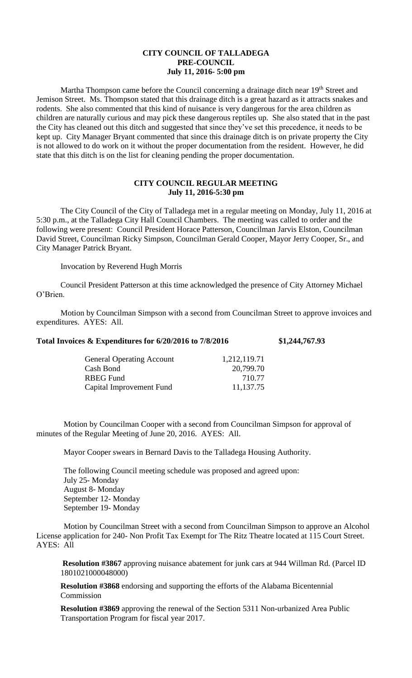## **CITY COUNCIL OF TALLADEGA PRE-COUNCIL July 11, 2016- 5:00 pm**

Martha Thompson came before the Council concerning a drainage ditch near 19<sup>th</sup> Street and Jemison Street. Ms. Thompson stated that this drainage ditch is a great hazard as it attracts snakes and rodents. She also commented that this kind of nuisance is very dangerous for the area children as children are naturally curious and may pick these dangerous reptiles up. She also stated that in the past the City has cleaned out this ditch and suggested that since they've set this precedence, it needs to be kept up. City Manager Bryant commented that since this drainage ditch is on private property the City is not allowed to do work on it without the proper documentation from the resident. However, he did state that this ditch is on the list for cleaning pending the proper documentation.

## **CITY COUNCIL REGULAR MEETING July 11, 2016-5:30 pm**

The City Council of the City of Talladega met in a regular meeting on Monday, July 11, 2016 at 5:30 p.m., at the Talladega City Hall Council Chambers. The meeting was called to order and the following were present: Council President Horace Patterson, Councilman Jarvis Elston, Councilman David Street, Councilman Ricky Simpson, Councilman Gerald Cooper, Mayor Jerry Cooper, Sr., and City Manager Patrick Bryant.

Invocation by Reverend Hugh Morris

Council President Patterson at this time acknowledged the presence of City Attorney Michael O'Brien.

Motion by Councilman Simpson with a second from Councilman Street to approve invoices and expenditures. AYES: All.

| Total Invoices & Expenditures for 6/20/2016 to 7/8/2016 |              | \$1,244,767.93 |
|---------------------------------------------------------|--------------|----------------|
| <b>General Operating Account</b>                        | 1,212,119.71 |                |
| Cash Bond                                               | 20,799.70    |                |
| RBEG Fund                                               | 710.77       |                |

Capital Improvement Fund 11,137.75

Motion by Councilman Cooper with a second from Councilman Simpson for approval of minutes of the Regular Meeting of June 20, 2016. AYES: All.

Mayor Cooper swears in Bernard Davis to the Talladega Housing Authority.

The following Council meeting schedule was proposed and agreed upon: July 25- Monday August 8- Monday September 12- Monday September 19- Monday

Motion by Councilman Street with a second from Councilman Simpson to approve an Alcohol License application for 240- Non Profit Tax Exempt for The Ritz Theatre located at 115 Court Street. AYES: All

**Resolution #3867** approving nuisance abatement for junk cars at 944 Willman Rd. (Parcel ID 1801021000048000)

**Resolution #3868** endorsing and supporting the efforts of the Alabama Bicentennial Commission

**Resolution #3869** approving the renewal of the Section 5311 Non-urbanized Area Public Transportation Program for fiscal year 2017.